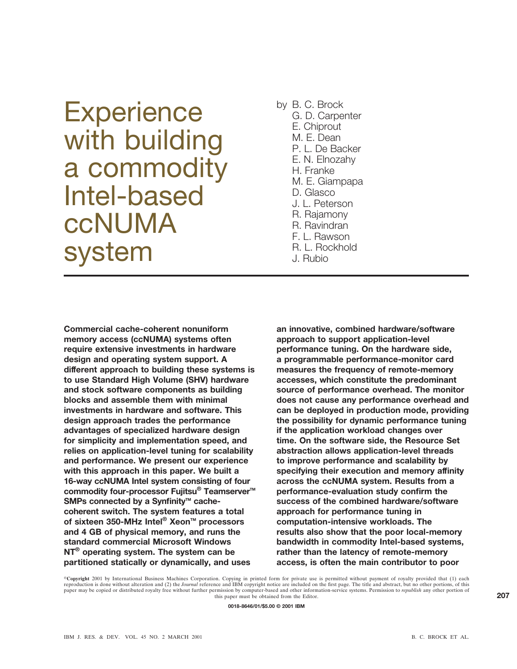**Experience** with building a commodity Intel-based ccNUMA system

by B. C. Brock G. D. Carpenter E. Chiprout M. E. Dean P. L. De Backer E. N. Elnozahy H. Franke M. E. Giampapa D. Glasco J. L. Peterson R. Rajamony R. Ravindran F. L. Rawson R. L. Rockhold J. Rubio

**Commercial cache-coherent nonuniform memory access (ccNUMA) systems often require extensive investments in hardware design and operating system support. A different approach to building these systems is to use Standard High Volume (SHV) hardware and stock software components as building blocks and assemble them with minimal investments in hardware and software. This design approach trades the performance advantages of specialized hardware design for simplicity and implementation speed, and relies on application-level tuning for scalability and performance. We present our experience with this approach in this paper. We built a 16-way ccNUMA Intel system consisting of four commodity four-processor Fujitsu<sup>®</sup> Teamserver<sup>™</sup> SMPs connected by a Synfinity<sup>™</sup> cachecoherent switch. The system features a total of sixteen 350-MHz Intel<sup>®</sup> Xeon™ processors and 4 GB of physical memory, and runs the standard commercial Microsoft Windows NT® operating system. The system can be partitioned statically or dynamically, and uses**

**an innovative, combined hardware/software approach to support application-level performance tuning. On the hardware side, a programmable performance-monitor card measures the frequency of remote-memory accesses, which constitute the predominant source of performance overhead. The monitor does not cause any performance overhead and can be deployed in production mode, providing the possibility for dynamic performance tuning if the application workload changes over time. On the software side, the Resource Set abstraction allows application-level threads to improve performance and scalability by specifying their execution and memory affinity across the ccNUMA system. Results from a performance-evaluation study confirm the success of the combined hardware/software approach for performance tuning in computation-intensive workloads. The results also show that the poor local-memory bandwidth in commodity Intel-based systems, rather than the latency of remote-memory access, is often the main contributor to poor**

©Copyright 2001 by International Business Machines Corporation. Copying in printed form for private use is permitted without payment of royalty provided that (1) each<br>reproduction is done without alteration and (2) the Jou paper may be copied or distributed royalty free without further permission by computer-based and other information-service systems. Permission to *republish* any other portion of this paper must be obtained from the Editor.

**0018-8646/01/\$5.00 © 2001 IBM**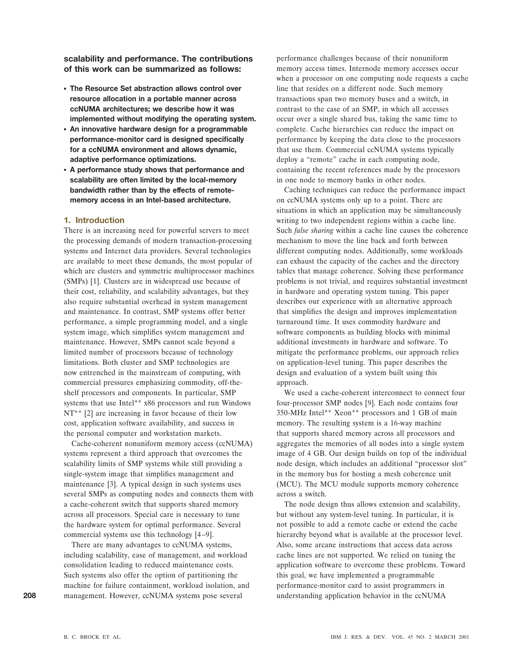**scalability and performance. The contributions of this work can be summarized as follows:**

- **The Resource Set abstraction allows control over resource allocation in a portable manner across ccNUMA architectures; we describe how it was implemented without modifying the operating system.**
- An innovative hardware design for a programmable **performance-monitor card is designed specifically for a ccNUMA environment and allows dynamic, adaptive performance optimizations.**
- A performance study shows that performance and **scalability are often limited by the local-memory bandwidth rather than by the effects of remotememory access in an Intel-based architecture.**

## **1. Introduction**

There is an increasing need for powerful servers to meet the processing demands of modern transaction-processing systems and Internet data providers. Several technologies are available to meet these demands, the most popular of which are clusters and symmetric multiprocessor machines (SMPs) [1]. Clusters are in widespread use because of their cost, reliability, and scalability advantages, but they also require substantial overhead in system management and maintenance. In contrast, SMP systems offer better performance, a simple programming model, and a single system image, which simplifies system management and maintenance. However, SMPs cannot scale beyond a limited number of processors because of technology limitations. Both cluster and SMP technologies are now entrenched in the mainstream of computing, with commercial pressures emphasizing commodity, off-theshelf processors and components. In particular, SMP systems that use Intel\*\* x86 processors and run Windows NT\*\* [2] are increasing in favor because of their low cost, application software availability, and success in the personal computer and workstation markets.

Cache-coherent nonuniform memory access (ccNUMA) systems represent a third approach that overcomes the scalability limits of SMP systems while still providing a single-system image that simplifies management and maintenance [3]. A typical design in such systems uses several SMPs as computing nodes and connects them with a cache-coherent switch that supports shared memory across all processors. Special care is necessary to tune the hardware system for optimal performance. Several commercial systems use this technology [4–9].

There are many advantages to ccNUMA systems, including scalability, ease of management, and workload consolidation leading to reduced maintenance costs. Such systems also offer the option of partitioning the machine for failure containment, workload isolation, and management. However, ccNUMA systems pose several

performance challenges because of their nonuniform memory access times. Internode memory accesses occur when a processor on one computing node requests a cache line that resides on a different node. Such memory transactions span two memory buses and a switch, in contrast to the case of an SMP, in which all accesses occur over a single shared bus, taking the same time to complete. Cache hierarchies can reduce the impact on performance by keeping the data close to the processors that use them. Commercial ccNUMA systems typically deploy a "remote" cache in each computing node, containing the recent references made by the processors in one node to memory banks in other nodes.

Caching techniques can reduce the performance impact on ccNUMA systems only up to a point. There are situations in which an application may be simultaneously writing to two independent regions within a cache line. Such *false sharing* within a cache line causes the coherence mechanism to move the line back and forth between different computing nodes. Additionally, some workloads can exhaust the capacity of the caches and the directory tables that manage coherence. Solving these performance problems is not trivial, and requires substantial investment in hardware and operating system tuning. This paper describes our experience with an alternative approach that simplifies the design and improves implementation turnaround time. It uses commodity hardware and software components as building blocks with minimal additional investments in hardware and software. To mitigate the performance problems, our approach relies on application-level tuning. This paper describes the design and evaluation of a system built using this approach.

We used a cache-coherent interconnect to connect four four-processor SMP nodes [9]. Each node contains four 350-MHz Intel\*\* Xeon\*\* processors and 1 GB of main memory. The resulting system is a 16-way machine that supports shared memory across all processors and aggregates the memories of all nodes into a single system image of 4 GB. Our design builds on top of the individual node design, which includes an additional "processor slot" in the memory bus for hosting a mesh coherence unit (MCU). The MCU module supports memory coherence across a switch.

The node design thus allows extension and scalability, but without any system-level tuning. In particular, it is not possible to add a remote cache or extend the cache hierarchy beyond what is available at the processor level. Also, some arcane instructions that access data across cache lines are not supported. We relied on tuning the application software to overcome these problems. Toward this goal, we have implemented a programmable performance-monitor card to assist programmers in understanding application behavior in the ccNUMA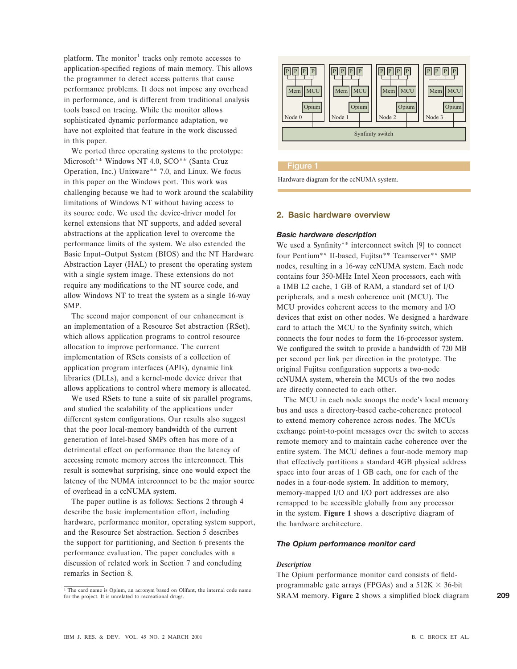platform. The monitor<sup>1</sup> tracks only remote accesses to application-specified regions of main memory. This allows the programmer to detect access patterns that cause performance problems. It does not impose any overhead in performance, and is different from traditional analysis tools based on tracing. While the monitor allows sophisticated dynamic performance adaptation, we have not exploited that feature in the work discussed in this paper.

We ported three operating systems to the prototype: Microsoft\*\* Windows NT 4.0, SCO\*\* (Santa Cruz Operation, Inc.) Unixware\*\* 7.0, and Linux. We focus in this paper on the Windows port. This work was challenging because we had to work around the scalability limitations of Windows NT without having access to its source code. We used the device-driver model for kernel extensions that NT supports, and added several abstractions at the application level to overcome the performance limits of the system. We also extended the Basic Input–Output System (BIOS) and the NT Hardware Abstraction Layer (HAL) to present the operating system with a single system image. These extensions do not require any modifications to the NT source code, and allow Windows NT to treat the system as a single 16-way SMP.

The second major component of our enhancement is an implementation of a Resource Set abstraction (RSet), which allows application programs to control resource allocation to improve performance. The current implementation of RSets consists of a collection of application program interfaces (APIs), dynamic link libraries (DLLs), and a kernel-mode device driver that allows applications to control where memory is allocated.

We used RSets to tune a suite of six parallel programs, and studied the scalability of the applications under different system configurations. Our results also suggest that the poor local-memory bandwidth of the current generation of Intel-based SMPs often has more of a detrimental effect on performance than the latency of accessing remote memory across the interconnect. This result is somewhat surprising, since one would expect the latency of the NUMA interconnect to be the major source of overhead in a ccNUMA system.

The paper outline is as follows: Sections 2 through 4 describe the basic implementation effort, including hardware, performance monitor, operating system support, and the Resource Set abstraction. Section 5 describes the support for partitioning, and Section 6 presents the performance evaluation. The paper concludes with a discussion of related work in Section 7 and concluding remarks in Section 8.





## **Figure 1**

Hardware diagram for the ccNUMA system.

# **2. Basic hardware overview**

## *Basic hardware description*

We used a Synfinity\*\* interconnect switch [9] to connect four Pentium\*\* II-based, Fujitsu\*\* Teamserver\*\* SMP nodes, resulting in a 16-way ccNUMA system. Each node contains four 350-MHz Intel Xeon processors, each with a 1MB L2 cache, 1 GB of RAM, a standard set of I/O peripherals, and a mesh coherence unit (MCU). The MCU provides coherent access to the memory and I/O devices that exist on other nodes. We designed a hardware card to attach the MCU to the Synfinity switch, which connects the four nodes to form the 16-processor system. We configured the switch to provide a bandwidth of 720 MB per second per link per direction in the prototype. The original Fujitsu configuration supports a two-node ccNUMA system, wherein the MCUs of the two nodes are directly connected to each other.

The MCU in each node snoops the node's local memory bus and uses a directory-based cache-coherence protocol to extend memory coherence across nodes. The MCUs exchange point-to-point messages over the switch to access remote memory and to maintain cache coherence over the entire system. The MCU defines a four-node memory map that effectively partitions a standard 4GB physical address space into four areas of 1 GB each, one for each of the nodes in a four-node system. In addition to memory, memory-mapped I/O and I/O port addresses are also remapped to be accessible globally from any processor in the system. **Figure 1** shows a descriptive diagram of the hardware architecture.

#### *The Opium performance monitor card*

#### *Description*

The Opium performance monitor card consists of fieldprogrammable gate arrays (FPGAs) and a  $512K \times 36$ -bit The card name is Opium, an acronym based on Olifant, the internal code name<br>
SRAM memory. Figure 2 shows a simplified block diagram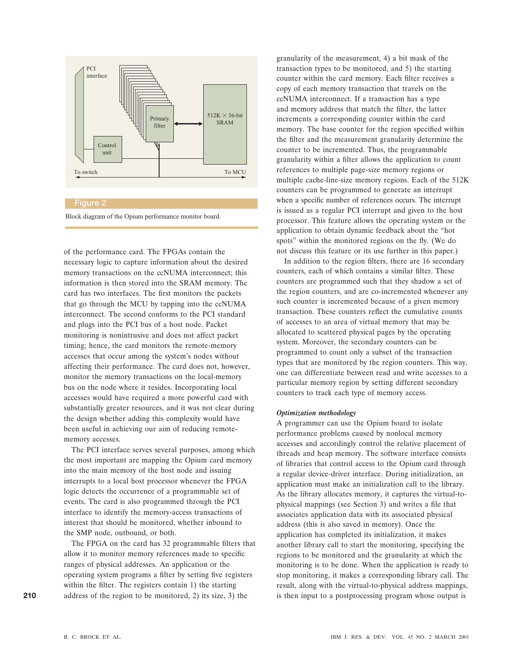

**Figure 2**

Block diagram of the Opium performance monitor board.

of the performance card. The FPGAs contain the necessary logic to capture information about the desired memory transactions on the ccNUMA interconnect; this information is then stored into the SRAM memory. The card has two interfaces. The first monitors the packets that go through the MCU by tapping into the ccNUMA interconnect. The second conforms to the PCI standard and plugs into the PCI bus of a host node. Packet monitoring is nonintrusive and does not affect packet timing; hence, the card monitors the remote-memory accesses that occur among the system's nodes without affecting their performance. The card does not, however, monitor the memory transactions on the local-memory bus on the node where it resides. Incorporating local accesses would have required a more powerful card with substantially greater resources, and it was not clear during the design whether adding this complexity would have been useful in achieving our aim of reducing remotememory accesses.

The PCI interface serves several purposes, among which the most important are mapping the Opium card memory into the main memory of the host node and issuing interrupts to a local host processor whenever the FPGA logic detects the occurrence of a programmable set of events. The card is also programmed through the PCI interface to identify the memory-access transactions of interest that should be monitored, whether inbound to the SMP node, outbound, or both.

The FPGA on the card has 32 programmable filters that allow it to monitor memory references made to specific ranges of physical addresses. An application or the operating system programs a filter by setting five registers within the filter. The registers contain 1) the starting address of the region to be monitored, 2) its size, 3) the

granularity of the measurement, 4) a bit mask of the transaction types to be monitored, and 5) the starting counter within the card memory. Each filter receives a copy of each memory transaction that travels on the ccNUMA interconnect. If a transaction has a type and memory address that match the filter, the latter increments a corresponding counter within the card memory. The base counter for the region specified within the filter and the measurement granularity determine the counter to be incremented. Thus, the programmable granularity within a filter allows the application to count references to multiple page-size memory regions or multiple cache-line-size memory regions. Each of the 512K counters can be programmed to generate an interrupt when a specific number of references occurs. The interrupt is issued as a regular PCI interrupt and given to the host processor. This feature allows the operating system or the application to obtain dynamic feedback about the "hot spots" within the monitored regions on the fly. (We do not discuss this feature or its use further in this paper.)

In addition to the region filters, there are 16 secondary counters, each of which contains a similar filter. These counters are programmed such that they shadow a set of the region counters, and are co-incremented whenever any such counter is incremented because of a given memory transaction. These counters reflect the cumulative counts of accesses to an area of virtual memory that may be allocated to scattered physical pages by the operating system. Moreover, the secondary counters can be programmed to count only a subset of the transaction types that are monitored by the region counters. This way, one can differentiate between read and write accesses to a particular memory region by setting different secondary counters to track each type of memory access.

#### *Optimization methodology*

A programmer can use the Opium board to isolate performance problems caused by nonlocal memory accesses and accordingly control the relative placement of threads and heap memory. The software interface consists of libraries that control access to the Opium card through a regular device-driver interface. During initialization, an application must make an initialization call to the library. As the library allocates memory, it captures the virtual-tophysical mappings (see Section 3) and writes a file that associates application data with its associated physical address (this is also saved in memory). Once the application has completed its initialization, it makes another library call to start the monitoring, specifying the regions to be monitored and the granularity at which the monitoring is to be done. When the application is ready to stop monitoring, it makes a corresponding library call. The result, along with the virtual-to-physical address mappings, is then input to a postprocessing program whose output is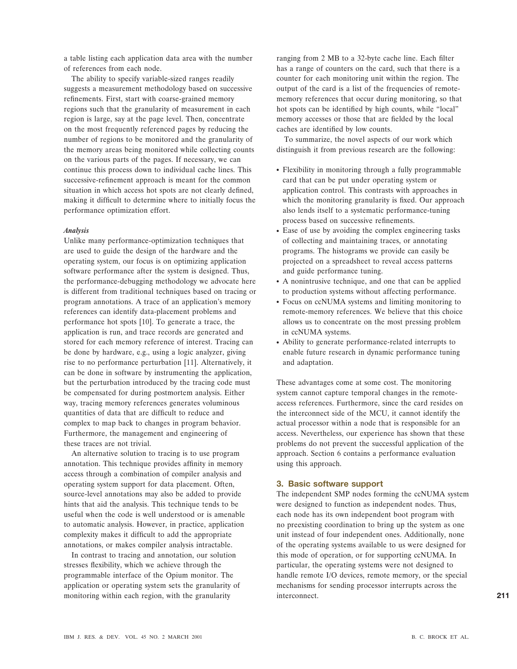a table listing each application data area with the number of references from each node.

The ability to specify variable-sized ranges readily suggests a measurement methodology based on successive refinements. First, start with coarse-grained memory regions such that the granularity of measurement in each region is large, say at the page level. Then, concentrate on the most frequently referenced pages by reducing the number of regions to be monitored and the granularity of the memory areas being monitored while collecting counts on the various parts of the pages. If necessary, we can continue this process down to individual cache lines. This successive-refinement approach is meant for the common situation in which access hot spots are not clearly defined, making it difficult to determine where to initially focus the performance optimization effort.

#### *Analysis*

Unlike many performance-optimization techniques that are used to guide the design of the hardware and the operating system, our focus is on optimizing application software performance after the system is designed. Thus, the performance-debugging methodology we advocate here is different from traditional techniques based on tracing or program annotations. A trace of an application's memory references can identify data-placement problems and performance hot spots [10]. To generate a trace, the application is run, and trace records are generated and stored for each memory reference of interest. Tracing can be done by hardware, e.g., using a logic analyzer, giving rise to no performance perturbation [11]. Alternatively, it can be done in software by instrumenting the application, but the perturbation introduced by the tracing code must be compensated for during postmortem analysis. Either way, tracing memory references generates voluminous quantities of data that are difficult to reduce and complex to map back to changes in program behavior. Furthermore, the management and engineering of these traces are not trivial.

An alternative solution to tracing is to use program annotation. This technique provides affinity in memory access through a combination of compiler analysis and operating system support for data placement. Often, source-level annotations may also be added to provide hints that aid the analysis. This technique tends to be useful when the code is well understood or is amenable to automatic analysis. However, in practice, application complexity makes it difficult to add the appropriate annotations, or makes compiler analysis intractable.

In contrast to tracing and annotation, our solution stresses flexibility, which we achieve through the programmable interface of the Opium monitor. The application or operating system sets the granularity of monitoring within each region, with the granularity

ranging from 2 MB to a 32-byte cache line. Each filter has a range of counters on the card, such that there is a counter for each monitoring unit within the region. The output of the card is a list of the frequencies of remotememory references that occur during monitoring, so that hot spots can be identified by high counts, while "local" memory accesses or those that are fielded by the local caches are identified by low counts.

To summarize, the novel aspects of our work which distinguish it from previous research are the following:

- Flexibility in monitoring through a fully programmable card that can be put under operating system or application control. This contrasts with approaches in which the monitoring granularity is fixed. Our approach also lends itself to a systematic performance-tuning process based on successive refinements.
- Ease of use by avoiding the complex engineering tasks of collecting and maintaining traces, or annotating programs. The histograms we provide can easily be projected on a spreadsheet to reveal access patterns and guide performance tuning.
- A nonintrusive technique, and one that can be applied to production systems without affecting performance.
- Focus on ccNUMA systems and limiting monitoring to remote-memory references. We believe that this choice allows us to concentrate on the most pressing problem in ccNUMA systems.
- Ability to generate performance-related interrupts to enable future research in dynamic performance tuning and adaptation.

These advantages come at some cost. The monitoring system cannot capture temporal changes in the remoteaccess references. Furthermore, since the card resides on the interconnect side of the MCU, it cannot identify the actual processor within a node that is responsible for an access. Nevertheless, our experience has shown that these problems do not prevent the successful application of the approach. Section 6 contains a performance evaluation using this approach.

## **3. Basic software support**

The independent SMP nodes forming the ccNUMA system were designed to function as independent nodes. Thus, each node has its own independent boot program with no preexisting coordination to bring up the system as one unit instead of four independent ones. Additionally, none of the operating systems available to us were designed for this mode of operation, or for supporting ccNUMA. In particular, the operating systems were not designed to handle remote I/O devices, remote memory, or the special mechanisms for sending processor interrupts across the interconnect.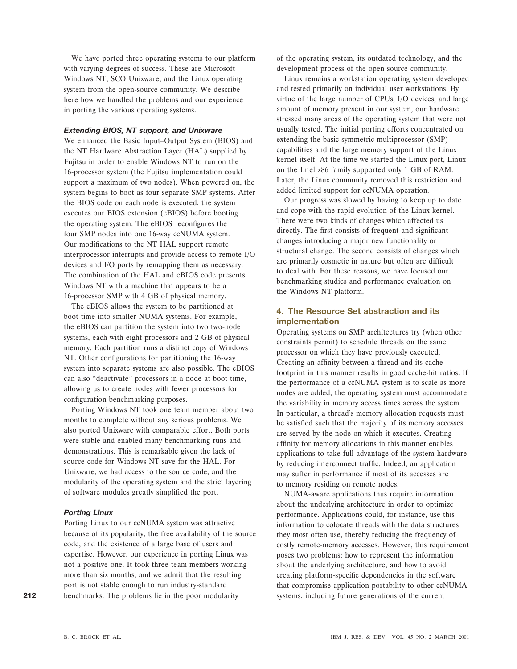We have ported three operating systems to our platform with varying degrees of success. These are Microsoft Windows NT, SCO Unixware, and the Linux operating system from the open-source community. We describe here how we handled the problems and our experience in porting the various operating systems.

## *Extending BIOS, NT support, and Unixware*

We enhanced the Basic Input–Output System (BIOS) and the NT Hardware Abstraction Layer (HAL) supplied by Fujitsu in order to enable Windows NT to run on the 16-processor system (the Fujitsu implementation could support a maximum of two nodes). When powered on, the system begins to boot as four separate SMP systems. After the BIOS code on each node is executed, the system executes our BIOS extension (eBIOS) before booting the operating system. The eBIOS reconfigures the four SMP nodes into one 16-way ccNUMA system. Our modifications to the NT HAL support remote interprocessor interrupts and provide access to remote I/O devices and I/O ports by remapping them as necessary. The combination of the HAL and eBIOS code presents Windows NT with a machine that appears to be a 16-processor SMP with 4 GB of physical memory.

The eBIOS allows the system to be partitioned at boot time into smaller NUMA systems. For example, the eBIOS can partition the system into two two-node systems, each with eight processors and 2 GB of physical memory. Each partition runs a distinct copy of Windows NT. Other configurations for partitioning the 16-way system into separate systems are also possible. The eBIOS can also "deactivate" processors in a node at boot time, allowing us to create nodes with fewer processors for configuration benchmarking purposes.

Porting Windows NT took one team member about two months to complete without any serious problems. We also ported Unixware with comparable effort. Both ports were stable and enabled many benchmarking runs and demonstrations. This is remarkable given the lack of source code for Windows NT save for the HAL. For Unixware, we had access to the source code, and the modularity of the operating system and the strict layering of software modules greatly simplified the port.

## *Porting Linux*

Porting Linux to our ccNUMA system was attractive because of its popularity, the free availability of the source code, and the existence of a large base of users and expertise. However, our experience in porting Linux was not a positive one. It took three team members working more than six months, and we admit that the resulting port is not stable enough to run industry-standard benchmarks. The problems lie in the poor modularity

of the operating system, its outdated technology, and the development process of the open source community.

Linux remains a workstation operating system developed and tested primarily on individual user workstations. By virtue of the large number of CPUs, I/O devices, and large amount of memory present in our system, our hardware stressed many areas of the operating system that were not usually tested. The initial porting efforts concentrated on extending the basic symmetric multiprocessor (SMP) capabilities and the large memory support of the Linux kernel itself. At the time we started the Linux port, Linux on the Intel x86 family supported only 1 GB of RAM. Later, the Linux community removed this restriction and added limited support for ccNUMA operation.

Our progress was slowed by having to keep up to date and cope with the rapid evolution of the Linux kernel. There were two kinds of changes which affected us directly. The first consists of frequent and significant changes introducing a major new functionality or structural change. The second consists of changes which are primarily cosmetic in nature but often are difficult to deal with. For these reasons, we have focused our benchmarking studies and performance evaluation on the Windows NT platform.

# **4. The Resource Set abstraction and its implementation**

Operating systems on SMP architectures try (when other constraints permit) to schedule threads on the same processor on which they have previously executed. Creating an affinity between a thread and its cache footprint in this manner results in good cache-hit ratios. If the performance of a ccNUMA system is to scale as more nodes are added, the operating system must accommodate the variability in memory access times across the system. In particular, a thread's memory allocation requests must be satisfied such that the majority of its memory accesses are served by the node on which it executes. Creating affinity for memory allocations in this manner enables applications to take full advantage of the system hardware by reducing interconnect traffic. Indeed, an application may suffer in performance if most of its accesses are to memory residing on remote nodes.

NUMA-aware applications thus require information about the underlying architecture in order to optimize performance. Applications could, for instance, use this information to colocate threads with the data structures they most often use, thereby reducing the frequency of costly remote-memory accesses. However, this requirement poses two problems: how to represent the information about the underlying architecture, and how to avoid creating platform-specific dependencies in the software that compromise application portability to other ccNUMA systems, including future generations of the current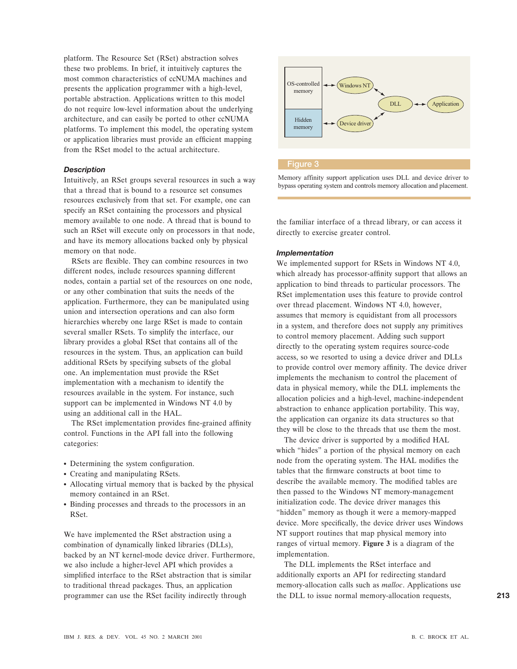platform. The Resource Set (RSet) abstraction solves these two problems. In brief, it intuitively captures the most common characteristics of ccNUMA machines and presents the application programmer with a high-level, portable abstraction. Applications written to this model do not require low-level information about the underlying architecture, and can easily be ported to other ccNUMA platforms. To implement this model, the operating system or application libraries must provide an efficient mapping from the RSet model to the actual architecture.

## *Description*

Intuitively, an RSet groups several resources in such a way that a thread that is bound to a resource set consumes resources exclusively from that set. For example, one can specify an RSet containing the processors and physical memory available to one node. A thread that is bound to such an RSet will execute only on processors in that node, and have its memory allocations backed only by physical memory on that node.

RSets are flexible. They can combine resources in two different nodes, include resources spanning different nodes, contain a partial set of the resources on one node, or any other combination that suits the needs of the application. Furthermore, they can be manipulated using union and intersection operations and can also form hierarchies whereby one large RSet is made to contain several smaller RSets. To simplify the interface, our library provides a global RSet that contains all of the resources in the system. Thus, an application can build additional RSets by specifying subsets of the global one. An implementation must provide the RSet implementation with a mechanism to identify the resources available in the system. For instance, such support can be implemented in Windows NT 4.0 by using an additional call in the HAL.

The RSet implementation provides fine-grained affinity control. Functions in the API fall into the following categories:

- Determining the system configuration.
- Creating and manipulating RSets.
- Allocating virtual memory that is backed by the physical memory contained in an RSet.
- Binding processes and threads to the processors in an RSet.

We have implemented the RSet abstraction using a combination of dynamically linked libraries (DLLs), backed by an NT kernel-mode device driver. Furthermore, we also include a higher-level API which provides a simplified interface to the RSet abstraction that is similar to traditional thread packages. Thus, an application programmer can use the RSet facility indirectly through



# **Figure 3**

Memory affinity support application uses DLL and device driver to bypass operating system and controls memory allocation and placement.

the familiar interface of a thread library, or can access it directly to exercise greater control.

#### *Implementation*

We implemented support for RSets in Windows NT 4.0, which already has processor-affinity support that allows an application to bind threads to particular processors. The RSet implementation uses this feature to provide control over thread placement. Windows NT 4.0, however, assumes that memory is equidistant from all processors in a system, and therefore does not supply any primitives to control memory placement. Adding such support directly to the operating system requires source-code access, so we resorted to using a device driver and DLLs to provide control over memory affinity. The device driver implements the mechanism to control the placement of data in physical memory, while the DLL implements the allocation policies and a high-level, machine-independent abstraction to enhance application portability. This way, the application can organize its data structures so that they will be close to the threads that use them the most.

The device driver is supported by a modified HAL which "hides" a portion of the physical memory on each node from the operating system. The HAL modifies the tables that the firmware constructs at boot time to describe the available memory. The modified tables are then passed to the Windows NT memory-management initialization code. The device driver manages this "hidden" memory as though it were a memory-mapped device. More specifically, the device driver uses Windows NT support routines that map physical memory into ranges of virtual memory. **Figure 3** is a diagram of the implementation.

The DLL implements the RSet interface and additionally exports an API for redirecting standard memory-allocation calls such as *malloc*. Applications use the DLL to issue normal memory-allocation requests,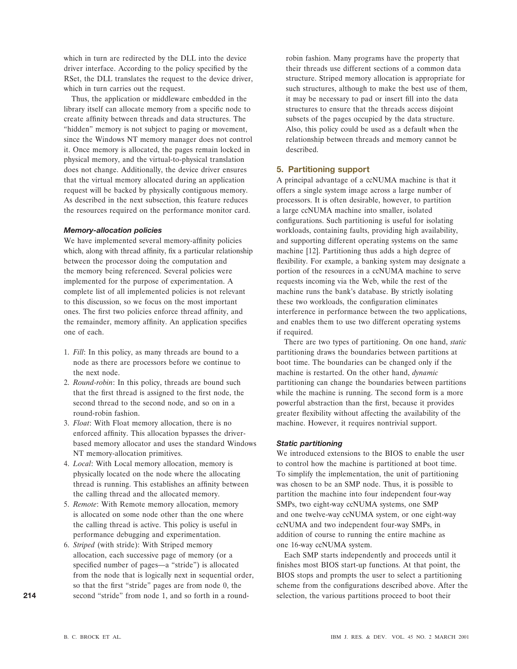which in turn are redirected by the DLL into the device driver interface. According to the policy specified by the RSet, the DLL translates the request to the device driver, which in turn carries out the request.

Thus, the application or middleware embedded in the library itself can allocate memory from a specific node to create affinity between threads and data structures. The "hidden" memory is not subject to paging or movement, since the Windows NT memory manager does not control it. Once memory is allocated, the pages remain locked in physical memory, and the virtual-to-physical translation does not change. Additionally, the device driver ensures that the virtual memory allocated during an application request will be backed by physically contiguous memory. As described in the next subsection, this feature reduces the resources required on the performance monitor card.

#### *Memory-allocation policies*

We have implemented several memory-affinity policies which, along with thread affinity, fix a particular relationship between the processor doing the computation and the memory being referenced. Several policies were implemented for the purpose of experimentation. A complete list of all implemented policies is not relevant to this discussion, so we focus on the most important ones. The first two policies enforce thread affinity, and the remainder, memory affinity. An application specifies one of each.

- 1. *Fill*: In this policy, as many threads are bound to a node as there are processors before we continue to the next node.
- 2. *Round-robin*: In this policy, threads are bound such that the first thread is assigned to the first node, the second thread to the second node, and so on in a round-robin fashion.
- 3. *Float*: With Float memory allocation, there is no enforced affinity. This allocation bypasses the driverbased memory allocator and uses the standard Windows NT memory-allocation primitives.
- 4. *Local*: With Local memory allocation, memory is physically located on the node where the allocating thread is running. This establishes an affinity between the calling thread and the allocated memory.
- 5. *Remote*: With Remote memory allocation, memory is allocated on some node other than the one where the calling thread is active. This policy is useful in performance debugging and experimentation.
- 6. *Striped* (with stride): With Striped memory allocation, each successive page of memory (or a specified number of pages—a "stride") is allocated from the node that is logically next in sequential order, so that the first "stride" pages are from node 0, the second "stride" from node 1, and so forth in a round-

robin fashion. Many programs have the property that their threads use different sections of a common data structure. Striped memory allocation is appropriate for such structures, although to make the best use of them, it may be necessary to pad or insert fill into the data structures to ensure that the threads access disjoint subsets of the pages occupied by the data structure. Also, this policy could be used as a default when the relationship between threads and memory cannot be described.

## **5. Partitioning support**

A principal advantage of a ccNUMA machine is that it offers a single system image across a large number of processors. It is often desirable, however, to partition a large ccNUMA machine into smaller, isolated configurations. Such partitioning is useful for isolating workloads, containing faults, providing high availability, and supporting different operating systems on the same machine [12]. Partitioning thus adds a high degree of flexibility. For example, a banking system may designate a portion of the resources in a ccNUMA machine to serve requests incoming via the Web, while the rest of the machine runs the bank's database. By strictly isolating these two workloads, the configuration eliminates interference in performance between the two applications, and enables them to use two different operating systems if required.

There are two types of partitioning. On one hand, *static* partitioning draws the boundaries between partitions at boot time. The boundaries can be changed only if the machine is restarted. On the other hand, *dynamic* partitioning can change the boundaries between partitions while the machine is running. The second form is a more powerful abstraction than the first, because it provides greater flexibility without affecting the availability of the machine. However, it requires nontrivial support.

#### *Static partitioning*

We introduced extensions to the BIOS to enable the user to control how the machine is partitioned at boot time. To simplify the implementation, the unit of partitioning was chosen to be an SMP node. Thus, it is possible to partition the machine into four independent four-way SMPs, two eight-way ccNUMA systems, one SMP and one twelve-way ccNUMA system, or one eight-way ccNUMA and two independent four-way SMPs, in addition of course to running the entire machine as one 16-way ccNUMA system.

Each SMP starts independently and proceeds until it finishes most BIOS start-up functions. At that point, the BIOS stops and prompts the user to select a partitioning scheme from the configurations described above. After the selection, the various partitions proceed to boot their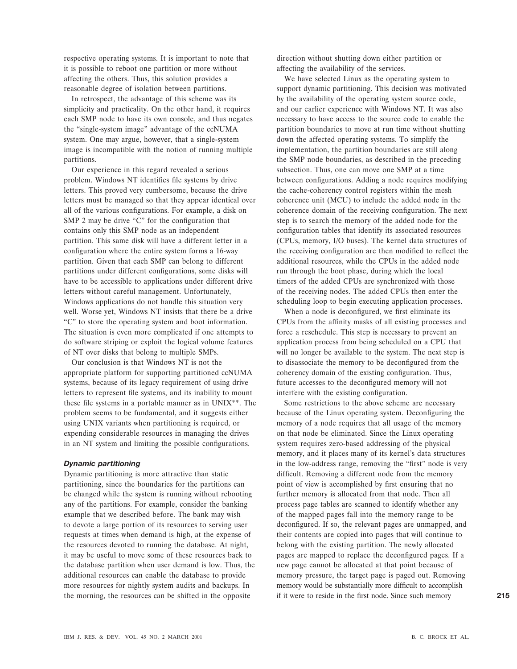respective operating systems. It is important to note that it is possible to reboot one partition or more without affecting the others. Thus, this solution provides a reasonable degree of isolation between partitions.

In retrospect, the advantage of this scheme was its simplicity and practicality. On the other hand, it requires each SMP node to have its own console, and thus negates the "single-system image" advantage of the ccNUMA system. One may argue, however, that a single-system image is incompatible with the notion of running multiple partitions.

Our experience in this regard revealed a serious problem. Windows NT identifies file systems by drive letters. This proved very cumbersome, because the drive letters must be managed so that they appear identical over all of the various configurations. For example, a disk on SMP 2 may be drive "C" for the configuration that contains only this SMP node as an independent partition. This same disk will have a different letter in a configuration where the entire system forms a 16-way partition. Given that each SMP can belong to different partitions under different configurations, some disks will have to be accessible to applications under different drive letters without careful management. Unfortunately, Windows applications do not handle this situation very well. Worse yet, Windows NT insists that there be a drive "C" to store the operating system and boot information. The situation is even more complicated if one attempts to do software striping or exploit the logical volume features of NT over disks that belong to multiple SMPs.

Our conclusion is that Windows NT is not the appropriate platform for supporting partitioned ccNUMA systems, because of its legacy requirement of using drive letters to represent file systems, and its inability to mount these file systems in a portable manner as in UNIX\*\*. The problem seems to be fundamental, and it suggests either using UNIX variants when partitioning is required, or expending considerable resources in managing the drives in an NT system and limiting the possible configurations.

#### *Dynamic partitioning*

Dynamic partitioning is more attractive than static partitioning, since the boundaries for the partitions can be changed while the system is running without rebooting any of the partitions. For example, consider the banking example that we described before. The bank may wish to devote a large portion of its resources to serving user requests at times when demand is high, at the expense of the resources devoted to running the database. At night, it may be useful to move some of these resources back to the database partition when user demand is low. Thus, the additional resources can enable the database to provide more resources for nightly system audits and backups. In the morning, the resources can be shifted in the opposite

direction without shutting down either partition or affecting the availability of the services.

We have selected Linux as the operating system to support dynamic partitioning. This decision was motivated by the availability of the operating system source code, and our earlier experience with Windows NT. It was also necessary to have access to the source code to enable the partition boundaries to move at run time without shutting down the affected operating systems. To simplify the implementation, the partition boundaries are still along the SMP node boundaries, as described in the preceding subsection. Thus, one can move one SMP at a time between configurations. Adding a node requires modifying the cache-coherency control registers within the mesh coherence unit (MCU) to include the added node in the coherence domain of the receiving configuration. The next step is to search the memory of the added node for the configuration tables that identify its associated resources (CPUs, memory, I/O buses). The kernel data structures of the receiving configuration are then modified to reflect the additional resources, while the CPUs in the added node run through the boot phase, during which the local timers of the added CPUs are synchronized with those of the receiving nodes. The added CPUs then enter the scheduling loop to begin executing application processes.

When a node is deconfigured, we first eliminate its CPUs from the affinity masks of all existing processes and force a reschedule. This step is necessary to prevent an application process from being scheduled on a CPU that will no longer be available to the system. The next step is to disassociate the memory to be deconfigured from the coherency domain of the existing configuration. Thus, future accesses to the deconfigured memory will not interfere with the existing configuration.

Some restrictions to the above scheme are necessary because of the Linux operating system. Deconfiguring the memory of a node requires that all usage of the memory on that node be eliminated. Since the Linux operating system requires zero-based addressing of the physical memory, and it places many of its kernel's data structures in the low-address range, removing the "first" node is very difficult. Removing a different node from the memory point of view is accomplished by first ensuring that no further memory is allocated from that node. Then all process page tables are scanned to identify whether any of the mapped pages fall into the memory range to be deconfigured. If so, the relevant pages are unmapped, and their contents are copied into pages that will continue to belong with the existing partition. The newly allocated pages are mapped to replace the deconfigured pages. If a new page cannot be allocated at that point because of memory pressure, the target page is paged out. Removing memory would be substantially more difficult to accomplish if it were to reside in the first node. Since such memory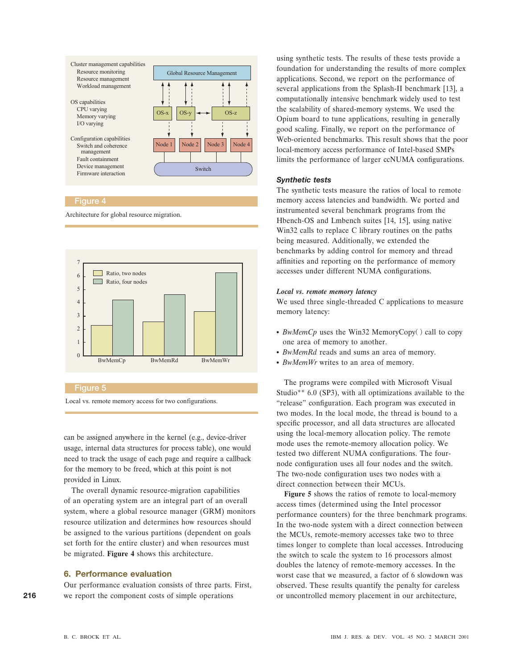

## **Figure 4**

Architecture for global resource migration.



#### **Figure 5**

Local vs. remote memory access for two configurations.

can be assigned anywhere in the kernel (e.g., device-driver usage, internal data structures for process table), one would need to track the usage of each page and require a callback for the memory to be freed, which at this point is not provided in Linux.

The overall dynamic resource-migration capabilities of an operating system are an integral part of an overall system, where a global resource manager (GRM) monitors resource utilization and determines how resources should be assigned to the various partitions (dependent on goals set forth for the entire cluster) and when resources must be migrated. **Figure 4** shows this architecture.

## **6. Performance evaluation**

Our performance evaluation consists of three parts. First, we report the component costs of simple operations

using synthetic tests. The results of these tests provide a foundation for understanding the results of more complex applications. Second, we report on the performance of several applications from the Splash-II benchmark [13], a computationally intensive benchmark widely used to test the scalability of shared-memory systems. We used the Opium board to tune applications, resulting in generally good scaling. Finally, we report on the performance of Web-oriented benchmarks. This result shows that the poor local-memory access performance of Intel-based SMPs limits the performance of larger ccNUMA configurations.

## *Synthetic tests*

The synthetic tests measure the ratios of local to remote memory access latencies and bandwidth. We ported and instrumented several benchmark programs from the Hbench-OS and Lmbench suites [14, 15], using native Win32 calls to replace C library routines on the paths being measured. Additionally, we extended the benchmarks by adding control for memory and thread affinities and reporting on the performance of memory accesses under different NUMA configurations.

#### *Local vs. remote memory latency*

We used three single-threaded C applications to measure memory latency:

- *BwMemCp* uses the Win32 MemoryCopy() call to copy one area of memory to another.
- *BwMemRd* reads and sums an area of memory.
- *BwMemWr* writes to an area of memory.

The programs were compiled with Microsoft Visual Studio\*\* 6.0 (SP3), with all optimizations available to the "release" configuration. Each program was executed in two modes. In the local mode, the thread is bound to a specific processor, and all data structures are allocated using the local-memory allocation policy. The remote mode uses the remote-memory allocation policy. We tested two different NUMA configurations. The fournode configuration uses all four nodes and the switch. The two-node configuration uses two nodes with a direct connection between their MCUs.

**Figure 5** shows the ratios of remote to local-memory access times (determined using the Intel processor performance counters) for the three benchmark programs. In the two-node system with a direct connection between the MCUs, remote-memory accesses take two to three times longer to complete than local accesses. Introducing the switch to scale the system to 16 processors almost doubles the latency of remote-memory accesses. In the worst case that we measured, a factor of 6 slowdown was observed. These results quantify the penalty for careless or uncontrolled memory placement in our architecture,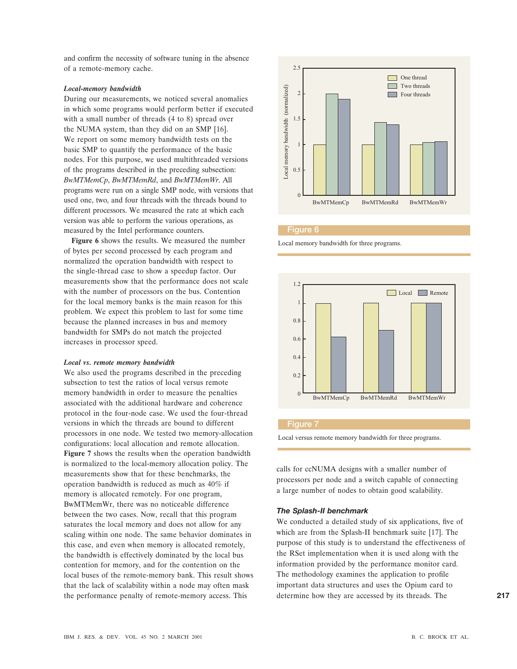and confirm the necessity of software tuning in the absence of a remote-memory cache.

#### *Local-memory bandwidth*

During our measurements, we noticed several anomalies in which some programs would perform better if executed with a small number of threads (4 to 8) spread over the NUMA system, than they did on an SMP [16]. We report on some memory bandwidth tests on the basic SMP to quantify the performance of the basic nodes. For this purpose, we used multithreaded versions of the programs described in the preceding subsection: *BwMTMemCp*, *BwMTMemRd*, and *BwMTMemWr*. All programs were run on a single SMP node, with versions that used one, two, and four threads with the threads bound to different processors. We measured the rate at which each version was able to perform the various operations, as measured by the Intel performance counters.

**Figure 6** shows the results. We measured the number of bytes per second processed by each program and normalized the operation bandwidth with respect to the single-thread case to show a speedup factor. Our measurements show that the performance does not scale with the number of processors on the bus. Contention for the local memory banks is the main reason for this problem. We expect this problem to last for some time because the planned increases in bus and memory bandwidth for SMPs do not match the projected increases in processor speed.

#### *Local vs. remote memory bandwidth*

We also used the programs described in the preceding subsection to test the ratios of local versus remote memory bandwidth in order to measure the penalties associated with the additional hardware and coherence protocol in the four-node case. We used the four-thread versions in which the threads are bound to different processors in one node. We tested two memory-allocation configurations: local allocation and remote allocation. **Figure 7** shows the results when the operation bandwidth is normalized to the local-memory allocation policy. The measurements show that for these benchmarks, the operation bandwidth is reduced as much as 40% if memory is allocated remotely. For one program, BwMTMemWr, there was no noticeable difference between the two cases. Now, recall that this program saturates the local memory and does not allow for any scaling within one node. The same behavior dominates in this case, and even when memory is allocated remotely, the bandwidth is effectively dominated by the local bus contention for memory, and for the contention on the local buses of the remote-memory bank. This result shows that the lack of scalability within a node may often mask the performance penalty of remote-memory access. This



#### **Figure 6**

Local memory bandwidth for three programs.



#### **Figure 7**

Local versus remote memory bandwidth for three programs.

calls for ccNUMA designs with a smaller number of processors per node and a switch capable of connecting a large number of nodes to obtain good scalability.

## *The Splash-II benchmark*

We conducted a detailed study of six applications, five of which are from the Splash-II benchmark suite [17]. The purpose of this study is to understand the effectiveness of the RSet implementation when it is used along with the information provided by the performance monitor card. The methodology examines the application to profile important data structures and uses the Opium card to determine how they are accessed by its threads. The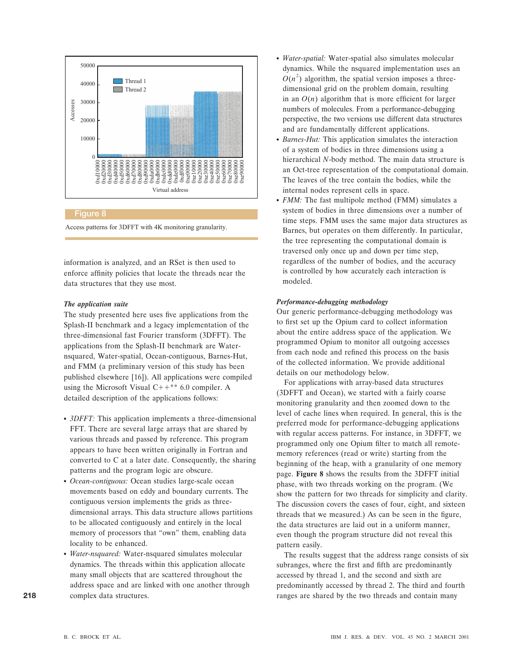

information is analyzed, and an RSet is then used to enforce affinity policies that locate the threads near the data structures that they use most.

#### *The application suite*

The study presented here uses five applications from the Splash-II benchmark and a legacy implementation of the three-dimensional fast Fourier transform (3DFFT). The applications from the Splash-II benchmark are Waternsquared, Water-spatial, Ocean-contiguous, Barnes-Hut, and FMM (a preliminary version of this study has been published elsewhere [16]). All applications were compiled using the Microsoft Visual  $C++** 6.0$  compiler. A detailed description of the applications follows:

- *3DFFT*: This application implements a three-dimensional FFT. There are several large arrays that are shared by various threads and passed by reference. This program appears to have been written originally in Fortran and converted to C at a later date. Consequently, the sharing patterns and the program logic are obscure.
- *Ocean-contiguous:* Ocean studies large-scale ocean movements based on eddy and boundary currents. The contiguous version implements the grids as threedimensional arrays. This data structure allows partitions to be allocated contiguously and entirely in the local memory of processors that "own" them, enabling data locality to be enhanced.
- *Water-nsquared:* Water-nsquared simulates molecular dynamics. The threads within this application allocate many small objects that are scattered throughout the address space and are linked with one another through complex data structures.
- *Water-spatial:* Water-spatial also simulates molecular dynamics. While the nsquared implementation uses an  $O(n^2)$  algorithm, the spatial version imposes a threedimensional grid on the problem domain, resulting in an  $O(n)$  algorithm that is more efficient for larger numbers of molecules. From a performance-debugging perspective, the two versions use different data structures and are fundamentally different applications.
- *Barnes-Hut:* This application simulates the interaction of a system of bodies in three dimensions using a hierarchical *N*-body method. The main data structure is an Oct-tree representation of the computational domain. The leaves of the tree contain the bodies, while the internal nodes represent cells in space.
- *FMM:* The fast multipole method (FMM) simulates a system of bodies in three dimensions over a number of time steps. FMM uses the same major data structures as Barnes, but operates on them differently. In particular, the tree representing the computational domain is traversed only once up and down per time step, regardless of the number of bodies, and the accuracy is controlled by how accurately each interaction is modeled.

#### *Performance-debugging methodology*

Our generic performance-debugging methodology was to first set up the Opium card to collect information about the entire address space of the application. We programmed Opium to monitor all outgoing accesses from each node and refined this process on the basis of the collected information. We provide additional details on our methodology below.

For applications with array-based data structures (3DFFT and Ocean), we started with a fairly coarse monitoring granularity and then zoomed down to the level of cache lines when required. In general, this is the preferred mode for performance-debugging applications with regular access patterns. For instance, in 3DFFT, we programmed only one Opium filter to match all remotememory references (read or write) starting from the beginning of the heap, with a granularity of one memory page. **Figure 8** shows the results from the 3DFFT initial phase, with two threads working on the program. (We show the pattern for two threads for simplicity and clarity. The discussion covers the cases of four, eight, and sixteen threads that we measured.) As can be seen in the figure, the data structures are laid out in a uniform manner, even though the program structure did not reveal this pattern easily.

The results suggest that the address range consists of six subranges, where the first and fifth are predominantly accessed by thread 1, and the second and sixth are predominantly accessed by thread 2. The third and fourth ranges are shared by the two threads and contain many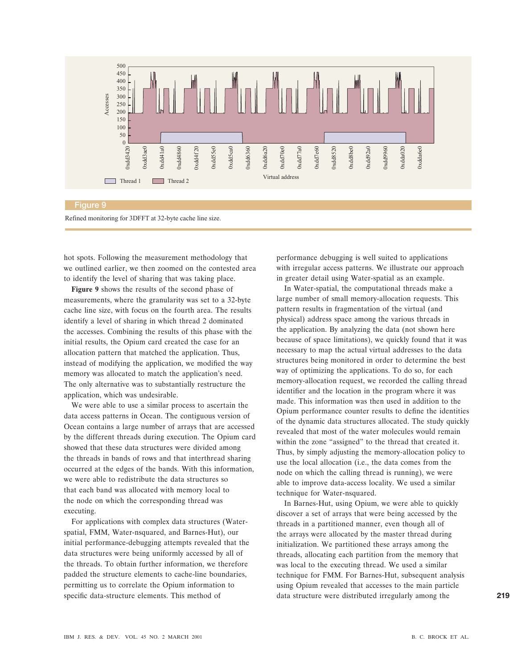

Refined monitoring for 3DFFT at 32-byte cache line size.

hot spots. Following the measurement methodology that we outlined earlier, we then zoomed on the contested area to identify the level of sharing that was taking place.

**Figure 9** shows the results of the second phase of measurements, where the granularity was set to a 32-byte cache line size, with focus on the fourth area. The results identify a level of sharing in which thread 2 dominated the accesses. Combining the results of this phase with the initial results, the Opium card created the case for an allocation pattern that matched the application. Thus, instead of modifying the application, we modified the way memory was allocated to match the application's need. The only alternative was to substantially restructure the application, which was undesirable.

We were able to use a similar process to ascertain the data access patterns in Ocean. The contiguous version of Ocean contains a large number of arrays that are accessed by the different threads during execution. The Opium card showed that these data structures were divided among the threads in bands of rows and that interthread sharing occurred at the edges of the bands. With this information, we were able to redistribute the data structures so that each band was allocated with memory local to the node on which the corresponding thread was executing.

For applications with complex data structures (Waterspatial, FMM, Water-nsquared, and Barnes-Hut), our initial performance-debugging attempts revealed that the data structures were being uniformly accessed by all of the threads. To obtain further information, we therefore padded the structure elements to cache-line boundaries, permitting us to correlate the Opium information to specific data-structure elements. This method of

performance debugging is well suited to applications with irregular access patterns. We illustrate our approach in greater detail using Water-spatial as an example.

In Water-spatial, the computational threads make a large number of small memory-allocation requests. This pattern results in fragmentation of the virtual (and physical) address space among the various threads in the application. By analyzing the data (not shown here because of space limitations), we quickly found that it was necessary to map the actual virtual addresses to the data structures being monitored in order to determine the best way of optimizing the applications. To do so, for each memory-allocation request, we recorded the calling thread identifier and the location in the program where it was made. This information was then used in addition to the Opium performance counter results to define the identities of the dynamic data structures allocated. The study quickly revealed that most of the water molecules would remain within the zone "assigned" to the thread that created it. Thus, by simply adjusting the memory-allocation policy to use the local allocation (i.e., the data comes from the node on which the calling thread is running), we were able to improve data-access locality. We used a similar technique for Water-nsquared.

In Barnes-Hut, using Opium, we were able to quickly discover a set of arrays that were being accessed by the threads in a partitioned manner, even though all of the arrays were allocated by the master thread during initialization. We partitioned these arrays among the threads, allocating each partition from the memory that was local to the executing thread. We used a similar technique for FMM. For Barnes-Hut, subsequent analysis using Opium revealed that accesses to the main particle data structure were distributed irregularly among the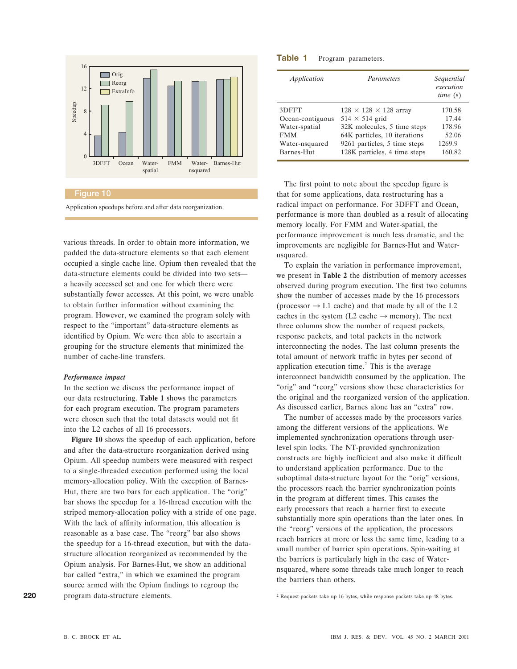

Application speedups before and after data reorganization.

various threads. In order to obtain more information, we padded the data-structure elements so that each element occupied a single cache line. Opium then revealed that the data-structure elements could be divided into two sets a heavily accessed set and one for which there were substantially fewer accesses. At this point, we were unable to obtain further information without examining the program. However, we examined the program solely with respect to the "important" data-structure elements as identified by Opium. We were then able to ascertain a grouping for the structure elements that minimized the number of cache-line transfers.

#### *Performance impact*

In the section we discuss the performance impact of our data restructuring. **Table 1** shows the parameters for each program execution. The program parameters were chosen such that the total datasets would not fit into the L2 caches of all 16 processors.

**Figure 10** shows the speedup of each application, before and after the data-structure reorganization derived using Opium. All speedup numbers were measured with respect to a single-threaded execution performed using the local memory-allocation policy. With the exception of Barnes-Hut, there are two bars for each application. The "orig" bar shows the speedup for a 16-thread execution with the striped memory-allocation policy with a stride of one page. With the lack of affinity information, this allocation is reasonable as a base case. The "reorg" bar also shows the speedup for a 16-thread execution, but with the datastructure allocation reorganized as recommended by the Opium analysis. For Barnes-Hut, we show an additional bar called "extra," in which we examined the program source armed with the Opium findings to regroup the program data-structure elements.

Table 1 Program parameters.

| Application      | Parameters                        | Sequential<br>execution<br>time(s) |
|------------------|-----------------------------------|------------------------------------|
| 3DFFT            | $128 \times 128 \times 128$ array | 170.58                             |
| Ocean-contiguous | $514 \times 514$ grid             | 17.44                              |
| Water-spatial    | 32K molecules, 5 time steps       | 178.96                             |
| <b>FMM</b>       | 64K particles, 10 iterations      | 52.06                              |
| Water-nsquared   | 9261 particles, 5 time steps      | 1269.9                             |
| Barnes-Hut       | 128K particles, 4 time steps      | 160.82                             |

The first point to note about the speedup figure is that for some applications, data restructuring has a radical impact on performance. For 3DFFT and Ocean, performance is more than doubled as a result of allocating memory locally. For FMM and Water-spatial, the performance improvement is much less dramatic, and the improvements are negligible for Barnes-Hut and Waternsquared.

To explain the variation in performance improvement, we present in **Table 2** the distribution of memory accesses observed during program execution. The first two columns show the number of accesses made by the 16 processors (processor  $\rightarrow$  L1 cache) and that made by all of the L2 caches in the system (L2 cache  $\rightarrow$  memory). The next three columns show the number of request packets, response packets, and total packets in the network interconnecting the nodes. The last column presents the total amount of network traffic in bytes per second of application execution time. $^{2}$  This is the average interconnect bandwidth consumed by the application. The "orig" and "reorg" versions show these characteristics for the original and the reorganized version of the application. As discussed earlier, Barnes alone has an "extra" row.

The number of accesses made by the processors varies among the different versions of the applications. We implemented synchronization operations through userlevel spin locks. The NT-provided synchronization constructs are highly inefficient and also make it difficult to understand application performance. Due to the suboptimal data-structure layout for the "orig" versions, the processors reach the barrier synchronization points in the program at different times. This causes the early processors that reach a barrier first to execute substantially more spin operations than the later ones. In the "reorg" versions of the application, the processors reach barriers at more or less the same time, leading to a small number of barrier spin operations. Spin-waiting at the barriers is particularly high in the case of Waternsquared, where some threads take much longer to reach the barriers than others.

<sup>&</sup>lt;sup>2</sup> Request packets take up 16 bytes, while response packets take up 48 bytes.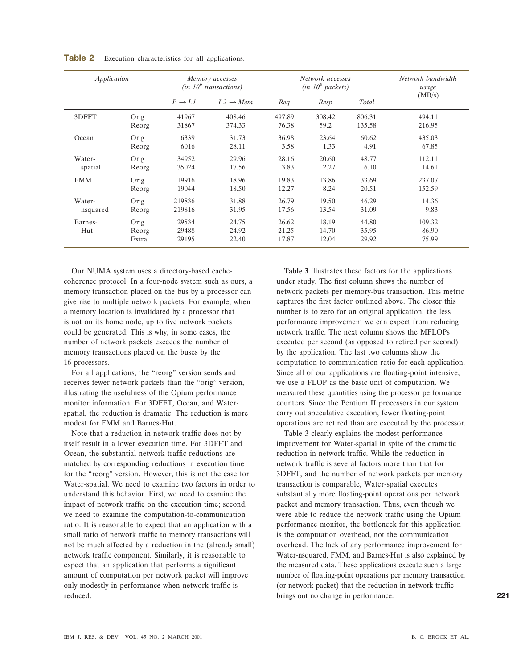| Application    |                        | Memory accesses<br>(in $10^6$ transactions) |                         | Network accesses<br>$(in 10^6$ packets) |                         |                         | Network bandwidth<br>usage |
|----------------|------------------------|---------------------------------------------|-------------------------|-----------------------------------------|-------------------------|-------------------------|----------------------------|
|                |                        | $P \rightarrow L1$                          | $L2 \rightarrow Mem$    | Req                                     | Resp                    | Total                   | (MB/s)                     |
| 3DFFT          | Orig                   | 41967                                       | 408.46                  | 497.89                                  | 308.42                  | 806.31                  | 494.11                     |
|                | Reorg                  | 31867                                       | 374.33                  | 76.38                                   | 59.2                    | 135.58                  | 216.95                     |
| Ocean          | Orig                   | 6339                                        | 31.73                   | 36.98                                   | 23.64                   | 60.62                   | 435.03                     |
|                | Reorg                  | 6016                                        | 28.11                   | 3.58                                    | 1.33                    | 4.91                    | 67.85                      |
| Water-         | Orig                   | 34952                                       | 29.96                   | 28.16                                   | 20.60                   | 48.77                   | 112.11                     |
| spatial        | Reorg                  | 35024                                       | 17.56                   | 3.83                                    | 2.27                    | 6.10                    | 14.61                      |
| <b>FMM</b>     | Orig                   | 19916                                       | 18.96                   | 19.83                                   | 13.86                   | 33.69                   | 237.07                     |
|                | Reorg                  | 19044                                       | 18.50                   | 12.27                                   | 8.24                    | 20.51                   | 152.59                     |
| Water-         | Orig                   | 219836                                      | 31.88                   | 26.79                                   | 19.50                   | 46.29                   | 14.36                      |
| nsquared       | Reorg                  | 219816                                      | 31.95                   | 17.56                                   | 13.54                   | 31.09                   | 9.83                       |
| Barnes-<br>Hut | Orig<br>Reorg<br>Extra | 29534<br>29488<br>29195                     | 24.75<br>24.92<br>22.40 | 26.62<br>21.25<br>17.87                 | 18.19<br>14.70<br>12.04 | 44.80<br>35.95<br>29.92 | 109.32<br>86.90<br>75.99   |

**Table 2** Execution characteristics for all applications.

Our NUMA system uses a directory-based cachecoherence protocol. In a four-node system such as ours, a memory transaction placed on the bus by a processor can give rise to multiple network packets. For example, when a memory location is invalidated by a processor that is not on its home node, up to five network packets could be generated. This is why, in some cases, the number of network packets exceeds the number of memory transactions placed on the buses by the 16 processors.

For all applications, the "reorg" version sends and receives fewer network packets than the "orig" version, illustrating the usefulness of the Opium performance monitor information. For 3DFFT, Ocean, and Waterspatial, the reduction is dramatic. The reduction is more modest for FMM and Barnes-Hut.

Note that a reduction in network traffic does not by itself result in a lower execution time. For 3DFFT and Ocean, the substantial network traffic reductions are matched by corresponding reductions in execution time for the "reorg" version. However, this is not the case for Water-spatial. We need to examine two factors in order to understand this behavior. First, we need to examine the impact of network traffic on the execution time; second, we need to examine the computation-to-communication ratio. It is reasonable to expect that an application with a small ratio of network traffic to memory transactions will not be much affected by a reduction in the (already small) network traffic component. Similarly, it is reasonable to expect that an application that performs a significant amount of computation per network packet will improve only modestly in performance when network traffic is reduced.

**Table 3** illustrates these factors for the applications under study. The first column shows the number of network packets per memory-bus transaction. This metric captures the first factor outlined above. The closer this number is to zero for an original application, the less performance improvement we can expect from reducing network traffic. The next column shows the MFLOPs executed per second (as opposed to retired per second) by the application. The last two columns show the computation-to-communication ratio for each application. Since all of our applications are floating-point intensive, we use a FLOP as the basic unit of computation. We measured these quantities using the processor performance counters. Since the Pentium II processors in our system carry out speculative execution, fewer floating-point operations are retired than are executed by the processor.

Table 3 clearly explains the modest performance improvement for Water-spatial in spite of the dramatic reduction in network traffic. While the reduction in network traffic is several factors more than that for 3DFFT, and the number of network packets per memory transaction is comparable, Water-spatial executes substantially more floating-point operations per network packet and memory transaction. Thus, even though we were able to reduce the network traffic using the Opium performance monitor, the bottleneck for this application is the computation overhead, not the communication overhead. The lack of any performance improvement for Water-nsquared, FMM, and Barnes-Hut is also explained by the measured data. These applications execute such a large number of floating-point operations per memory transaction (or network packet) that the reduction in network traffic brings out no change in performance.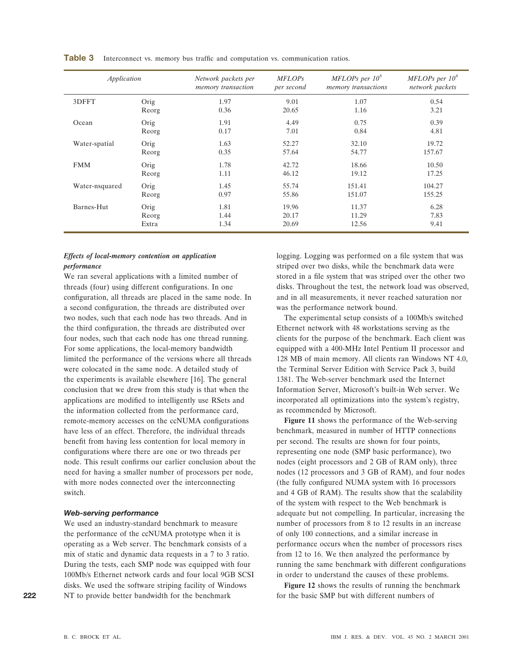| Application    |       | Network packets per<br>memory transaction | <b>MFLOPs</b><br>per second | MFLOPs per $10^6$<br>memory transactions | MFLOPs per $106$<br>network packets |
|----------------|-------|-------------------------------------------|-----------------------------|------------------------------------------|-------------------------------------|
| 3DFFT          | Orig  | 1.97                                      | 9.01                        | 1.07                                     | 0.54                                |
|                | Reorg | 0.36                                      | 20.65                       | 1.16                                     | 3.21                                |
| Ocean          | Orig  | 1.91                                      | 4.49                        | 0.75                                     | 0.39                                |
|                | Reorg | 0.17                                      | 7.01                        | 0.84                                     | 4.81                                |
| Water-spatial  | Orig  | 1.63                                      | 52.27                       | 32.10                                    | 19.72                               |
|                | Reorg | 0.35                                      | 57.64                       | 54.77                                    | 157.67                              |
| <b>FMM</b>     | Orig  | 1.78                                      | 42.72                       | 18.66                                    | 10.50                               |
|                | Reorg | 1.11                                      | 46.12                       | 19.12                                    | 17.25                               |
| Water-nsquared | Orig  | 1.45                                      | 55.74                       | 151.41                                   | 104.27                              |
|                | Reorg | 0.97                                      | 55.86                       | 151.07                                   | 155.25                              |
| Barnes-Hut     | Orig  | 1.81                                      | 19.96                       | 11.37                                    | 6.28                                |
|                | Reorg | 1.44                                      | 20.17                       | 11.29                                    | 7.83                                |
|                | Extra | 1.34                                      | 20.69                       | 12.56                                    | 9.41                                |

**Table 3** Interconnect vs. memory bus traffic and computation vs. communication ratios.

## *Effects of local-memory contention on application performance*

We ran several applications with a limited number of threads (four) using different configurations. In one configuration, all threads are placed in the same node. In a second configuration, the threads are distributed over two nodes, such that each node has two threads. And in the third configuration, the threads are distributed over four nodes, such that each node has one thread running. For some applications, the local-memory bandwidth limited the performance of the versions where all threads were colocated in the same node. A detailed study of the experiments is available elsewhere [16]. The general conclusion that we drew from this study is that when the applications are modified to intelligently use RSets and the information collected from the performance card, remote-memory accesses on the ccNUMA configurations have less of an effect. Therefore, the individual threads benefit from having less contention for local memory in configurations where there are one or two threads per node. This result confirms our earlier conclusion about the need for having a smaller number of processors per node, with more nodes connected over the interconnecting switch.

#### *Web-serving performance*

We used an industry-standard benchmark to measure the performance of the ccNUMA prototype when it is operating as a Web server. The benchmark consists of a mix of static and dynamic data requests in a 7 to 3 ratio. During the tests, each SMP node was equipped with four 100Mb/s Ethernet network cards and four local 9GB SCSI disks. We used the software striping facility of Windows NT to provide better bandwidth for the benchmark

logging. Logging was performed on a file system that was striped over two disks, while the benchmark data were stored in a file system that was striped over the other two disks. Throughout the test, the network load was observed, and in all measurements, it never reached saturation nor was the performance network bound.

The experimental setup consists of a 100Mb/s switched Ethernet network with 48 workstations serving as the clients for the purpose of the benchmark. Each client was equipped with a 400-MHz Intel Pentium II processor and 128 MB of main memory. All clients ran Windows NT 4.0, the Terminal Server Edition with Service Pack 3, build 1381. The Web-server benchmark used the Internet Information Server, Microsoft's built-in Web server. We incorporated all optimizations into the system's registry, as recommended by Microsoft.

**Figure 11** shows the performance of the Web-serving benchmark, measured in number of HTTP connections per second. The results are shown for four points, representing one node (SMP basic performance), two nodes (eight processors and 2 GB of RAM only), three nodes (12 processors and 3 GB of RAM), and four nodes (the fully configured NUMA system with 16 processors and 4 GB of RAM). The results show that the scalability of the system with respect to the Web benchmark is adequate but not compelling. In particular, increasing the number of processors from 8 to 12 results in an increase of only 100 connections, and a similar increase in performance occurs when the number of processors rises from 12 to 16. We then analyzed the performance by running the same benchmark with different configurations in order to understand the causes of these problems.

**Figure 12** shows the results of running the benchmark for the basic SMP but with different numbers of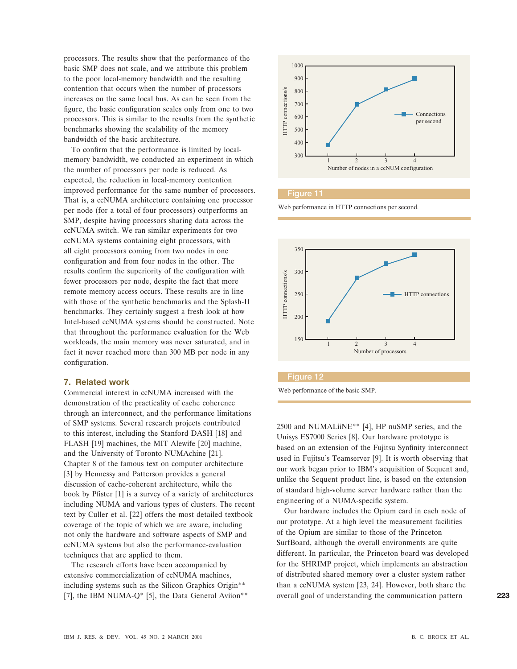processors. The results show that the performance of the basic SMP does not scale, and we attribute this problem to the poor local-memory bandwidth and the resulting contention that occurs when the number of processors increases on the same local bus. As can be seen from the figure, the basic configuration scales only from one to two processors. This is similar to the results from the synthetic benchmarks showing the scalability of the memory bandwidth of the basic architecture.

To confirm that the performance is limited by localmemory bandwidth, we conducted an experiment in which the number of processors per node is reduced. As expected, the reduction in local-memory contention improved performance for the same number of processors. That is, a ccNUMA architecture containing one processor per node (for a total of four processors) outperforms an SMP, despite having processors sharing data across the ccNUMA switch. We ran similar experiments for two ccNUMA systems containing eight processors, with all eight processors coming from two nodes in one configuration and from four nodes in the other. The results confirm the superiority of the configuration with fewer processors per node, despite the fact that more remote memory access occurs. These results are in line with those of the synthetic benchmarks and the Splash-II benchmarks. They certainly suggest a fresh look at how Intel-based ccNUMA systems should be constructed. Note that throughout the performance evaluation for the Web workloads, the main memory was never saturated, and in fact it never reached more than 300 MB per node in any configuration.

## **7. Related work**

Commercial interest in ccNUMA increased with the demonstration of the practicality of cache coherence through an interconnect, and the performance limitations of SMP systems. Several research projects contributed to this interest, including the Stanford DASH [18] and FLASH [19] machines, the MIT Alewife [20] machine, and the University of Toronto NUMAchine [21]. Chapter 8 of the famous text on computer architecture [3] by Hennessy and Patterson provides a general discussion of cache-coherent architecture, while the book by Pfister [1] is a survey of a variety of architectures including NUMA and various types of clusters. The recent text by Culler et al. [22] offers the most detailed textbook coverage of the topic of which we are aware, including not only the hardware and software aspects of SMP and ccNUMA systems but also the performance-evaluation techniques that are applied to them.

The research efforts have been accompanied by extensive commercialization of ccNUMA machines, including systems such as the Silicon Graphics Origin\*\* [7], the IBM NUMA-Q<sup>\*</sup> [5], the Data General Aviion<sup>\*\*</sup>



#### **Figure 11**







2500 and NUMALiiNE\*\* [4], HP nuSMP series, and the Unisys ES7000 Series [8]. Our hardware prototype is based on an extension of the Fujitsu Synfinity interconnect used in Fujitsu's Teamserver [9]. It is worth observing that our work began prior to IBM's acquisition of Sequent and, unlike the Sequent product line, is based on the extension of standard high-volume server hardware rather than the engineering of a NUMA-specific system.

Our hardware includes the Opium card in each node of our prototype. At a high level the measurement facilities of the Opium are similar to those of the Princeton SurfBoard, although the overall environments are quite different. In particular, the Princeton board was developed for the SHRIMP project, which implements an abstraction of distributed shared memory over a cluster system rather than a ccNUMA system [23, 24]. However, both share the overall goal of understanding the communication pattern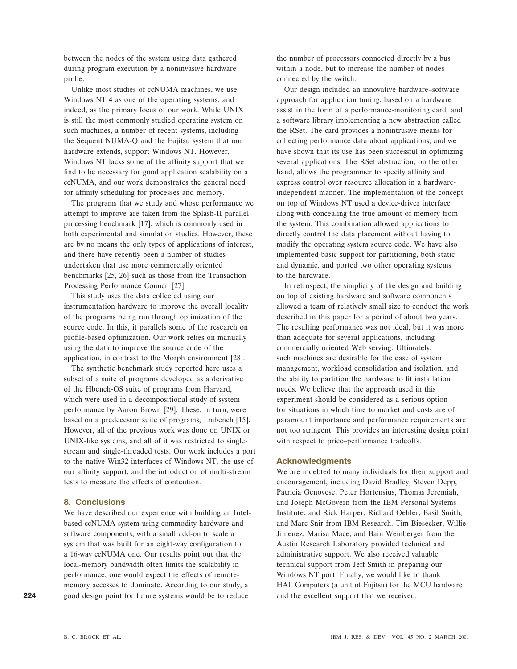between the nodes of the system using data gathered during program execution by a noninvasive hardware probe.

Unlike most studies of ccNUMA machines, we use Windows NT 4 as one of the operating systems, and indeed, as the primary focus of our work. While UNIX is still the most commonly studied operating system on such machines, a number of recent systems, including the Sequent NUMA-Q and the Fujitsu system that our hardware extends, support Windows NT. However, Windows NT lacks some of the affinity support that we find to be necessary for good application scalability on a ccNUMA, and our work demonstrates the general need for affinity scheduling for processes and memory.

The programs that we study and whose performance we attempt to improve are taken from the Splash-II parallel processing benchmark [17], which is commonly used in both experimental and simulation studies. However, these are by no means the only types of applications of interest, and there have recently been a number of studies undertaken that use more commercially oriented benchmarks [25, 26] such as those from the Transaction Processing Performance Council [27].

This study uses the data collected using our instrumentation hardware to improve the overall locality of the programs being run through optimization of the source code. In this, it parallels some of the research on profile-based optimization. Our work relies on manually using the data to improve the source code of the application, in contrast to the Morph environment [28].

The synthetic benchmark study reported here uses a subset of a suite of programs developed as a derivative of the Hbench-OS suite of programs from Harvard, which were used in a decompositional study of system performance by Aaron Brown [29]. These, in turn, were based on a predecessor suite of programs, Lmbench [15]. However, all of the previous work was done on UNIX or UNIX-like systems, and all of it was restricted to singlestream and single-threaded tests. Our work includes a port to the native Win32 interfaces of Windows NT, the use of our affinity support, and the introduction of multi-stream tests to measure the effects of contention.

# **8. Conclusions**

We have described our experience with building an Intelbased ccNUMA system using commodity hardware and software components, with a small add-on to scale a system that was built for an eight-way configuration to a 16-way ccNUMA one. Our results point out that the local-memory bandwidth often limits the scalability in performance; one would expect the effects of remotememory accesses to dominate. According to our study, a good design point for future systems would be to reduce

the number of processors connected directly by a bus within a node, but to increase the number of nodes connected by the switch.

Our design included an innovative hardware–software approach for application tuning, based on a hardware assist in the form of a performance-monitoring card, and a software library implementing a new abstraction called the RSet. The card provides a nonintrusive means for collecting performance data about applications, and we have shown that its use has been successful in optimizing several applications. The RSet abstraction, on the other hand, allows the programmer to specify affinity and express control over resource allocation in a hardwareindependent manner. The implementation of the concept on top of Windows NT used a device-driver interface along with concealing the true amount of memory from the system. This combination allowed applications to directly control the data placement without having to modify the operating system source code. We have also implemented basic support for partitioning, both static and dynamic, and ported two other operating systems to the hardware.

In retrospect, the simplicity of the design and building on top of existing hardware and software components allowed a team of relatively small size to conduct the work described in this paper for a period of about two years. The resulting performance was not ideal, but it was more than adequate for several applications, including commercially oriented Web serving. Ultimately, such machines are desirable for the ease of system management, workload consolidation and isolation, and the ability to partition the hardware to fit installation needs. We believe that the approach used in this experiment should be considered as a serious option for situations in which time to market and costs are of paramount importance and performance requirements are not too stringent. This provides an interesting design point with respect to price–performance tradeoffs.

#### **Acknowledgments**

We are indebted to many individuals for their support and encouragement, including David Bradley, Steven Depp, Patricia Genovese, Peter Hortensius, Thomas Jeremiah, and Joseph McGovern from the IBM Personal Systems Institute; and Rick Harper, Richard Oehler, Basil Smith, and Marc Snir from IBM Research. Tim Biesecker, Willie Jimenez, Marisa Mace, and Bain Weinberger from the Austin Research Laboratory provided technical and administrative support. We also received valuable technical support from Jeff Smith in preparing our Windows NT port. Finally, we would like to thank HAL Computers (a unit of Fujitsu) for the MCU hardware and the excellent support that we received.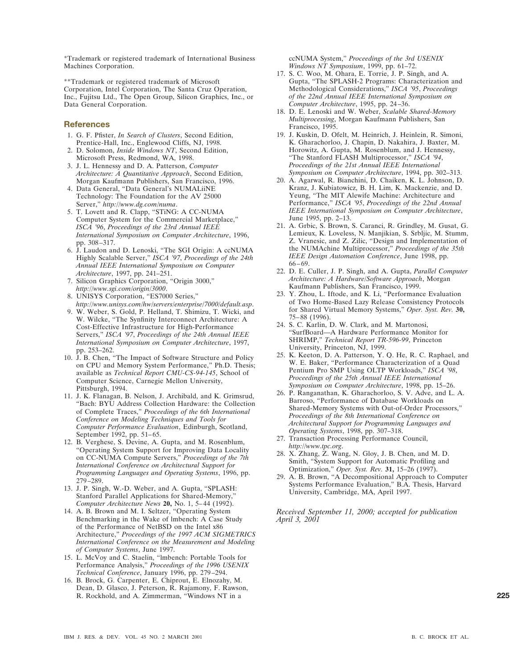\*Trademark or registered trademark of International Business Machines Corporation.

\*\*Trademark or registered trademark of Microsoft Corporation, Intel Corporation, The Santa Cruz Operation, Inc., Fujitsu Ltd., The Open Group, Silicon Graphics, Inc., or Data General Corporation.

#### **References**

- 1. G. F. Pfister, *In Search of Clusters*, Second Edition, Prentice-Hall, Inc., Englewood Cliffs, NJ, 1998.
- 2. D. Solomon, *Inside Windows NT*, Second Edition, Microsoft Press, Redmond, WA, 1998.
- 3. J. L. Hennessy and D. A. Patterson, *Computer Architecture: A Quantitative Approach*, Second Edition, Morgan Kaufmann Publishers, San Francisco, 1996.
- 4. Data General, "Data General's NUMALiiNE Technology: The Foundation for the AV 25000 Server," *http://www.dg.com/numa*.
- 5. T. Lovett and R. Clapp, "STiNG: A CC-NUMA Computer System for the Commercial Marketplace," *ISCA '96*, *Proceedings of the 23rd Annual IEEE International Symposium on Computer Architecture*, 1996, pp. 308–317.
- 6. J. Laudon and D. Lenoski, "The SGI Origin: A ccNUMA Highly Scalable Server," *ISCA '97*, *Proceedings of the 24th Annual IEEE International Symposium on Computer Architecture*, 1997, pp. 241–251.
- 7. Silicon Graphics Corporation, "Origin 3000," *http://www.sgi.com/origin/3000*.
- 8. UNISYS Corporation, "ES7000 Series," *http://www.unisys.com/hw/servers/enterprise/7000/default.asp*.
- 9. W. Weber, S. Gold, P. Helland, T. Shimizu, T. Wicki, and W. Wilcke, "The Synfinity Interconnect Architecture: A Cost-Effective Infrastructure for High-Performance Servers," *ISCA '97*, *Proceedings of the 24th Annual IEEE International Symposium on Computer Architecture*, 1997, pp. 253–262.
- 10. J. B. Chen, "The Impact of Software Structure and Policy on CPU and Memory System Performance," Ph.D. Thesis; available as *Technical Report CMU-CS-94-145*, School of Computer Science, Carnegie Mellon University, Pittsburgh, 1994.
- 11. J. K. Flanagan, B. Nelson, J. Archibald, and K. Grimsrud, "Bach: BYU Address Collection Hardware: the Collection of Complete Traces," *Proceedings of the 6th International Conference on Modeling Techniques and Tools for Computer Performance Evaluation*, Edinburgh, Scotland, September 1992, pp. 51–65.
- 12. B. Verghese, S. Devine, A. Gupta, and M. Rosenblum, "Operating System Support for Improving Data Locality on CC-NUMA Compute Servers," *Proceedings of the 7th International Conference on Architectural Support for Programming Languages and Operating Systems*, 1996, pp. 279–289.
- 13. J. P. Singh, W.-D. Weber, and A. Gupta, "SPLASH: Stanford Parallel Applications for Shared-Memory," *Computer Architecture News* **20,** No. 1, 5–44 (1992).
- 14. A. B. Brown and M. I. Seltzer, "Operating System Benchmarking in the Wake of lmbench: A Case Study of the Performance of NetBSD on the Intel x86 Architecture," *Proceedings of the 1997 ACM SIGMETRICS International Conference on the Measurement and Modeling of Computer Systems*, June 1997.
- 15. L. McVoy and C. Staelin, "lmbench: Portable Tools for Performance Analysis," *Proceedings of the 1996 USENIX Technical Conference*, January 1996, pp. 279–294.
- 16. B. Brock, G. Carpenter, E. Chiprout, E. Elnozahy, M. Dean, D. Glasco, J. Peterson, R. Rajamony, F. Rawson, R. Rockhold, and A. Zimmerman, "Windows NT in a

ccNUMA System," *Proceedings of the 3rd USENIX Windows NT Symposium*, 1999, pp. 61–72.

- 17. S. C. Woo, M. Ohara, E. Torrie, J. P. Singh, and A. Gupta, "The SPLASH-2 Programs: Characterization and Methodological Considerations," *ISCA '95*, *Proceedings of the 22nd Annual IEEE International Symposium on Computer Architecture*, 1995, pp. 24–36.
- 18. D. E. Lenoski and W. Weber, *Scalable Shared-Memory Multiprocessing*, Morgan Kaufmann Publishers, San Francisco, 1995.
- 19. J. Kuskin, D. Ofelt, M. Heinrich, J. Heinlein, R. Simoni, K. Gharachorloo, J. Chapin, D. Nakahira, J. Baxter, M. Horowitz, A. Gupta, M. Rosenblum, and J. Hennessy, "The Stanford FLASH Multiprocessor," *ISCA '94*, *Proceedings of the 21st Annual IEEE International Symposium on Computer Architecture*, 1994, pp. 302–313.
- 20. A. Agarwal, R. Bianchini, D. Chaiken, K. L. Johnson, D. Kranz, J. Kubiatowicz, B. H. Lim, K. Mackenzie, and D. Yeung, "The MIT Alewife Machine: Architecture and Performance," *ISCA '95*, *Proceedings of the 22nd Annual IEEE International Symposium on Computer Architecture*, June 1995, pp. 2–13.
- 21. A. Grbic, S. Brown, S. Caranci, R. Grindley, M. Gusat, G. Lemieux, K. Loveless, N. Manjikian, S. Srbljic, M. Stumm, Z. Vranesic, and Z. Zilic, "Design and Implementation of the NUMAchine Multiprocessor," *Proceedings of the 35th IEEE Design Automation Conference*, June 1998, pp. 66–69.
- 22. D. E. Culler, J. P. Singh, and A. Gupta, *Parallel Computer Architecture: A Hardware/Software Approach*, Morgan Kaufmann Publishers, San Francisco, 1999.
- 23. Y. Zhou, L. Iftode, and K. Li, "Performance Evaluation of Two Home-Based Lazy Release Consistency Protocols for Shared Virtual Memory Systems," *Oper. Syst. Rev.* **30,** 75–88 (1996).
- 24. S. C. Karlin, D. W. Clark, and M. Martonosi, "SurfBoard—A Hardware Performance Monitor for SHRIMP," *Technical Report TR-596-99*, Princeton University, Princeton, NJ, 1999.
- 25. K. Keeton, D. A. Patterson, Y. Q. He, R. C. Raphael, and W. E. Baker, "Performance Characterization of a Quad Pentium Pro SMP Using OLTP Workloads," *ISCA '98*, *Proceedings of the 25th Annual IEEE International Symposium on Computer Architecture*, 1998, pp. 15–26.
- 26. P. Ranganathan, K. Gharachorloo, S. V. Adve, and L. A. Barroso, "Performance of Database Workloads on Shared-Memory Systems with Out-of-Order Processors," *Proceedings of the 8th International Conference on Architectural Support for Programming Languages and Operating Systems*, 1998, pp. 307–318.
- 27. Transaction Processing Performance Council, *http://www.tpc.org*.
- 28. X. Zhang, Z. Wang, N. Gloy, J. B. Chen, and M. D. Smith, "System Support for Automatic Profiling and Optimization," *Oper. Syst. Rev.* **31,** 15–26 (1997).
- 29. A. B. Brown, "A Decompositional Approach to Computer Systems Performance Evaluation," B.A. Thesis, Harvard University, Cambridge, MA, April 1997.

*Received September 11, 2000; accepted for publication April 3, 2001*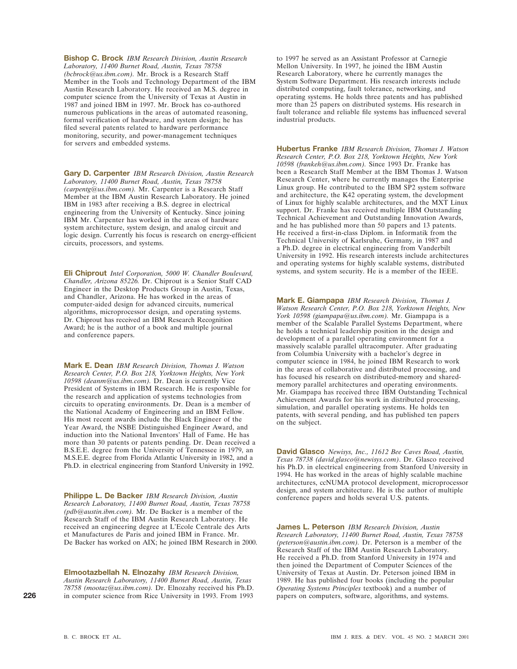**Bishop C. Brock** *IBM Research Division, Austin Research Laboratory, 11400 Burnet Road, Austin, Texas 78758 (bcbrock@us.ibm.com).* Mr. Brock is a Research Staff Member in the Tools and Technology Department of the IBM Austin Research Laboratory. He received an M.S. degree in computer science from the University of Texas at Austin in 1987 and joined IBM in 1997. Mr. Brock has co-authored numerous publications in the areas of automated reasoning, formal verification of hardware, and system design; he has filed several patents related to hardware performance monitoring, security, and power-management techniques for servers and embedded systems.

**Gary D. Carpenter** *IBM Research Division, Austin Research Laboratory, 11400 Burnet Road, Austin, Texas 78758 (carpentg@us.ibm.com).* Mr. Carpenter is a Research Staff Member at the IBM Austin Research Laboratory. He joined IBM in 1983 after receiving a B.S. degree in electrical engineering from the University of Kentucky. Since joining IBM Mr. Carpenter has worked in the areas of hardware system architecture, system design, and analog circuit and logic design. Currently his focus is research on energy-efficient circuits, processors, and systems.

**Eli Chiprout** *Intel Corporation, 5000 W. Chandler Boulevard, Chandler, Arizona 85226.* Dr. Chiprout is a Senior Staff CAD Engineer in the Desktop Products Group in Austin, Texas, and Chandler, Arizona. He has worked in the areas of computer-aided design for advanced circuits, numerical algorithms, microprocessor design, and operating systems. Dr. Chiprout has received an IBM Research Recognition Award; he is the author of a book and multiple journal and conference papers.

**Mark E. Dean** *IBM Research Division, Thomas J. Watson Research Center, P.O. Box 218, Yorktown Heights, New York 10598 (deanm@us.ibm.com).* Dr. Dean is currently Vice President of Systems in IBM Research. He is responsible for the research and application of systems technologies from circuits to operating environments. Dr. Dean is a member of the National Academy of Engineering and an IBM Fellow. His most recent awards include the Black Engineer of the Year Award, the NSBE Distinguished Engineer Award, and induction into the National Inventors' Hall of Fame. He has more than 30 patents or patents pending. Dr. Dean received a B.S.E.E. degree from the University of Tennessee in 1979, an M.S.E.E. degree from Florida Atlantic University in 1982, and a Ph.D. in electrical engineering from Stanford University in 1992.

**Philippe L. De Backer** *IBM Research Division, Austin Research Laboratory, 11400 Burnet Road, Austin, Texas 78758 (pdb@austin.ibm.com).* Mr. De Backer is a member of the Research Staff of the IBM Austin Research Laboratory. He received an engineering degree at L'Ecole Centrale des Arts et Manufactures de Paris and joined IBM in France. Mr. De Backer has worked on AIX; he joined IBM Research in 2000.

**Elmootazbellah N. Elnozahy** *IBM Research Division, Austin Research Laboratory, 11400 Burnet Road, Austin, Texas 78758 (mootaz@us.ibm.com).* Dr. Elnozahy received his Ph.D. in computer science from Rice University in 1993. From 1993

to 1997 he served as an Assistant Professor at Carnegie Mellon University. In 1997, he joined the IBM Austin Research Laboratory, where he currently manages the System Software Department. His research interests include distributed computing, fault tolerance, networking, and operating systems. He holds three patents and has published more than 25 papers on distributed systems. His research in fault tolerance and reliable file systems has influenced several industrial products.

**Hubertus Franke** *IBM Research Division, Thomas J. Watson Research Center, P.O. Box 218, Yorktown Heights, New York 10598 (frankeh@us.ibm.com).* Since 1993 Dr. Franke has been a Research Staff Member at the IBM Thomas J. Watson Research Center, where he currently manages the Enterprise Linux group. He contributed to the IBM SP2 system software and architecture, the K42 operating system, the development of Linux for highly scalable architectures, and the MXT Linux support. Dr. Franke has received multiple IBM Outstanding Technical Achievement and Outstanding Innovation Awards, and he has published more than 50 papers and 13 patents. He received a first-in-class Diplom. in Informatik from the Technical University of Karlsruhe, Germany, in 1987 and a Ph.D. degree in electrical engineering from Vanderbilt University in 1992. His research interests include architectures and operating systems for highly scalable systems, distributed systems, and system security. He is a member of the IEEE.

**Mark E. Giampapa** *IBM Research Division, Thomas J. Watson Research Center, P.O. Box 218, Yorktown Heights, New York 10598 (giampapa@us.ibm.com).* Mr. Giampapa is a member of the Scalable Parallel Systems Department, where he holds a technical leadership position in the design and development of a parallel operating environment for a massively scalable parallel ultracomputer. After graduating from Columbia University with a bachelor's degree in computer science in 1984, he joined IBM Research to work in the areas of collaborative and distributed processing, and has focused his research on distributed-memory and sharedmemory parallel architectures and operating environments. Mr. Giampapa has received three IBM Outstanding Technical Achievement Awards for his work in distributed processing, simulation, and parallel operating systems. He holds ten patents, with several pending, and has published ten papers on the subject.

**David Glasco** *Newisys, Inc., 11612 Bee Caves Road, Austin, Texas 78738 (david.glasco@newisys.com)*. Dr. Glasco received his Ph.D. in electrical engineering from Stanford University in 1994. He has worked in the areas of highly scalable machine architectures, ccNUMA protocol development, microprocessor design, and system architecture. He is the author of multiple conference papers and holds several U.S. patents.

**James L. Peterson** *IBM Research Division, Austin Research Laboratory, 11400 Burnet Road, Austin, Texas 78758 (peterson@austin.ibm.com).* Dr. Peterson is a member of the Research Staff of the IBM Austin Research Laboratory. He received a Ph.D. from Stanford University in 1974 and then joined the Department of Computer Sciences of the University of Texas at Austin. Dr. Peterson joined IBM in 1989. He has published four books (including the popular *Operating Systems Principles* textbook) and a number of papers on computers, software, algorithms, and systems.